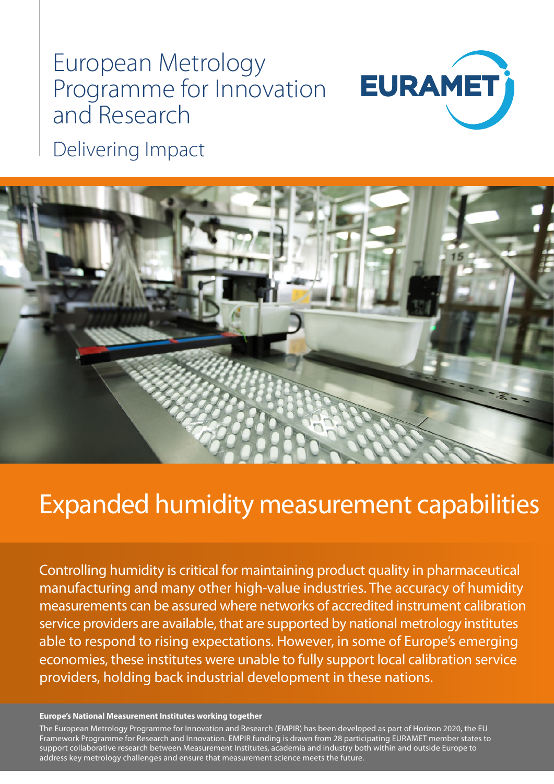# European Metrology Programme for Innovation and Research



Delivering Impact



## Expanded humidity measurement capabilities

Controlling humidity is critical for maintaining product quality in pharmaceutical manufacturing and many other high-value industries. The accuracy of humidity measurements can be assured where networks of accredited instrument calibration service providers are available, that are supported by national metrology institutes able to respond to rising expectations. However, in some of Europe's emerging economies, these institutes were unable to fully support local calibration service providers, holding back industrial development in these nations.

#### **Europe's National Measurement Institutes working together**

The European Metrology Programme for Innovation and Research (EMPIR) has been developed as part of Horizon 2020, the EU Framework Programme for Research and Innovation. EMPIR funding is drawn from 28 participating EURAMET member states to support collaborative research between Measurement Institutes, academia and industry both within and outside Europe to address key metrology challenges and ensure that measurement science meets the future.